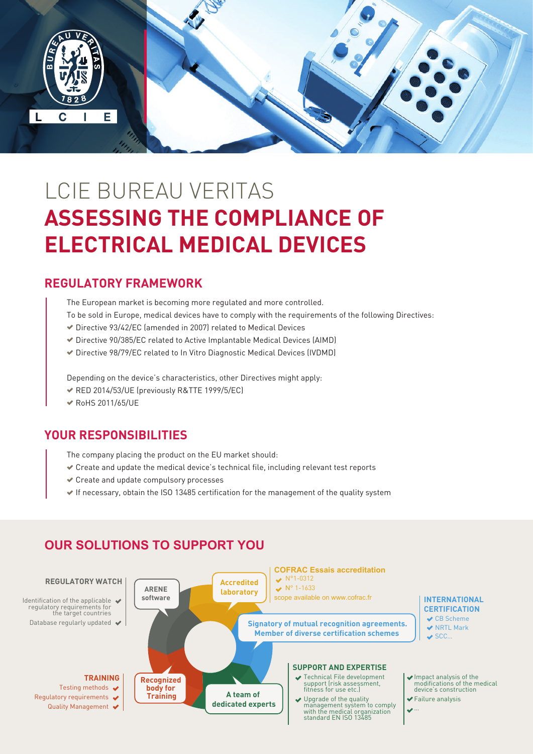

# LCIE BUREAU VERITAS **ASSESSING THE COMPLIANCE OF ELECTRICAL MEDICAL DEVICES**

#### **REGULATORY FRAMEWORK**

- The European market is becoming more regulated and more controlled.
- To be sold in Europe, medical devices have to comply with the requirements of the following Directives:
- Directive 93/42/EC (amended in 2007) related to Medical Devices
- Directive 90/385/EC related to Active Implantable Medical Devices (AIMD)
- Directive 98/79/EC related to In Vitro Diagnostic Medical Devices (IVDMD)

Depending on the device's characteristics, other Directives might apply:

- RED 2014/53/UE (previously R&TTE 1999/5/EC)
- RoHS 2011/65/UE

#### **YOUR RESPONSIBILITIES**

The company placing the product on the EU market should:

- $\checkmark$  Create and update the medical device's technical file, including relevant test reports
- Create and update compulsory processes
- $\blacktriangleright$  If necessary, obtain the ISO 13485 certification for the management of the quality system



#### **OUR SOLUTIONS TO SUPPORT YOU**